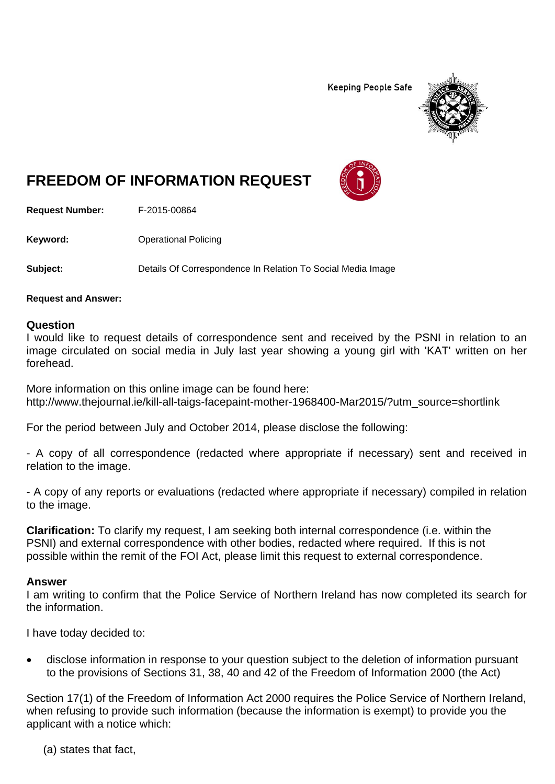**Keeping People Safe** 



# **FREEDOM OF INFORMATION REQUEST**

**Request Number:** F-2015-00864

**Keyword: Confidence Operational Policing** 

**Subject:** Details Of Correspondence In Relation To Social Media Image

**Request and Answer:** 

#### **Question**

I would like to request details of correspondence sent and received by the PSNI in relation to an image circulated on social media in July last year showing a young girl with 'KAT' written on her forehead.

More information on this online image can be found here: http://www.thejournal.ie/kill-all-taigs-facepaint-mother-1968400-Mar2015/?utm\_source=shortlink

For the period between July and October 2014, please disclose the following:

- A copy of all correspondence (redacted where appropriate if necessary) sent and received in relation to the image.

- A copy of any reports or evaluations (redacted where appropriate if necessary) compiled in relation to the image.

**Clarification:** To clarify my request, I am seeking both internal correspondence (i.e. within the PSNI) and external correspondence with other bodies, redacted where required. If this is not possible within the remit of the FOI Act, please limit this request to external correspondence.

#### **Answer**

I am writing to confirm that the Police Service of Northern Ireland has now completed its search for the information.

I have today decided to:

 disclose information in response to your question subject to the deletion of information pursuant to the provisions of Sections 31, 38, 40 and 42 of the Freedom of Information 2000 (the Act)

Section 17(1) of the Freedom of Information Act 2000 requires the Police Service of Northern Ireland, when refusing to provide such information (because the information is exempt) to provide you the applicant with a notice which:

(a) states that fact,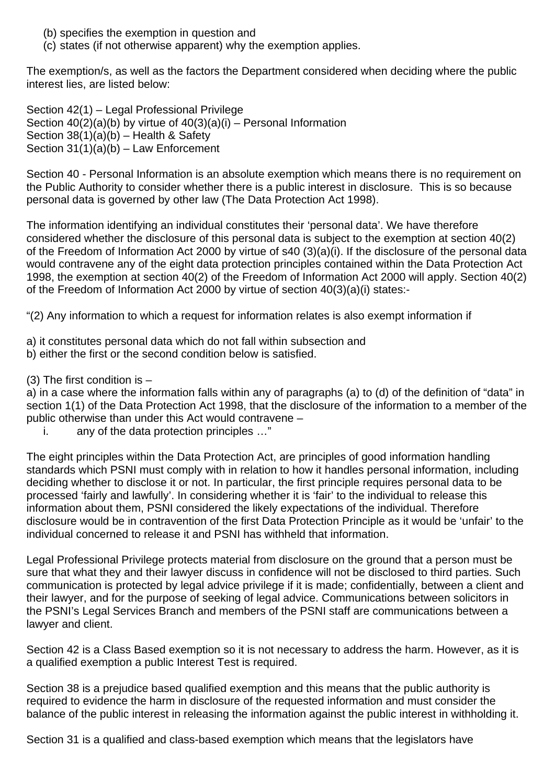- (b) specifies the exemption in question and
- (c) states (if not otherwise apparent) why the exemption applies.

The exemption/s, as well as the factors the Department considered when deciding where the public interest lies, are listed below:

Section 42(1) – Legal Professional Privilege Section 40(2)(a)(b) by virtue of 40(3)(a)(i) – Personal Information Section  $38(1)(a)(b)$  – Health & Safety Section  $31(1)(a)(b)$  – Law Enforcement

Section 40 - Personal Information is an absolute exemption which means there is no requirement on the Public Authority to consider whether there is a public interest in disclosure. This is so because personal data is governed by other law (The Data Protection Act 1998).

The information identifying an individual constitutes their 'personal data'. We have therefore considered whether the disclosure of this personal data is subject to the exemption at section 40(2) of the Freedom of Information Act 2000 by virtue of s40 (3)(a)(i). If the disclosure of the personal data would contravene any of the eight data protection principles contained within the Data Protection Act 1998, the exemption at section 40(2) of the Freedom of Information Act 2000 will apply. Section 40(2) of the Freedom of Information Act 2000 by virtue of section 40(3)(a)(i) states:-

"(2) Any information to which a request for information relates is also exempt information if

- a) it constitutes personal data which do not fall within subsection and
- b) either the first or the second condition below is satisfied.
- (3) The first condition is  $-$

a) in a case where the information falls within any of paragraphs (a) to (d) of the definition of "data" in section 1(1) of the Data Protection Act 1998, that the disclosure of the information to a member of the public otherwise than under this Act would contravene –

i. any of the data protection principles …"

The eight principles within the Data Protection Act, are principles of good information handling standards which PSNI must comply with in relation to how it handles personal information, including deciding whether to disclose it or not. In particular, the first principle requires personal data to be processed 'fairly and lawfully'. In considering whether it is 'fair' to the individual to release this information about them, PSNI considered the likely expectations of the individual. Therefore disclosure would be in contravention of the first Data Protection Principle as it would be 'unfair' to the individual concerned to release it and PSNI has withheld that information.

Legal Professional Privilege protects material from disclosure on the ground that a person must be sure that what they and their lawyer discuss in confidence will not be disclosed to third parties. Such communication is protected by legal advice privilege if it is made; confidentially, between a client and their lawyer, and for the purpose of seeking of legal advice. Communications between solicitors in the PSNI's Legal Services Branch and members of the PSNI staff are communications between a lawyer and client.

Section 42 is a Class Based exemption so it is not necessary to address the harm. However, as it is a qualified exemption a public Interest Test is required.

Section 38 is a prejudice based qualified exemption and this means that the public authority is required to evidence the harm in disclosure of the requested information and must consider the balance of the public interest in releasing the information against the public interest in withholding it.

Section 31 is a qualified and class-based exemption which means that the legislators have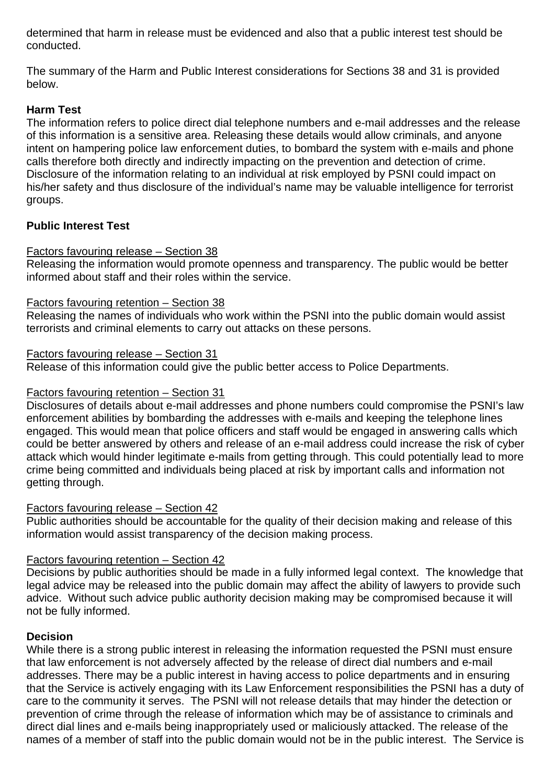determined that harm in release must be evidenced and also that a public interest test should be conducted.

The summary of the Harm and Public Interest considerations for Sections 38 and 31 is provided below.

# **Harm Test**

The information refers to police direct dial telephone numbers and e-mail addresses and the release of this information is a sensitive area. Releasing these details would allow criminals, and anyone intent on hampering police law enforcement duties, to bombard the system with e-mails and phone calls therefore both directly and indirectly impacting on the prevention and detection of crime. Disclosure of the information relating to an individual at risk employed by PSNI could impact on his/her safety and thus disclosure of the individual's name may be valuable intelligence for terrorist groups.

# **Public Interest Test**

### Factors favouring release – Section 38

Releasing the information would promote openness and transparency. The public would be better informed about staff and their roles within the service.

#### Factors favouring retention – Section 38

Releasing the names of individuals who work within the PSNI into the public domain would assist terrorists and criminal elements to carry out attacks on these persons.

### Factors favouring release – Section 31

Release of this information could give the public better access to Police Departments.

#### Factors favouring retention – Section 31

Disclosures of details about e-mail addresses and phone numbers could compromise the PSNI's law enforcement abilities by bombarding the addresses with e-mails and keeping the telephone lines engaged. This would mean that police officers and staff would be engaged in answering calls which could be better answered by others and release of an e-mail address could increase the risk of cyber attack which would hinder legitimate e-mails from getting through. This could potentially lead to more crime being committed and individuals being placed at risk by important calls and information not getting through.

#### Factors favouring release – Section 42

Public authorities should be accountable for the quality of their decision making and release of this information would assist transparency of the decision making process.

# Factors favouring retention – Section 42

Decisions by public authorities should be made in a fully informed legal context. The knowledge that legal advice may be released into the public domain may affect the ability of lawyers to provide such advice. Without such advice public authority decision making may be compromised because it will not be fully informed.

# **Decision**

While there is a strong public interest in releasing the information requested the PSNI must ensure that law enforcement is not adversely affected by the release of direct dial numbers and e-mail addresses. There may be a public interest in having access to police departments and in ensuring that the Service is actively engaging with its Law Enforcement responsibilities the PSNI has a duty of care to the community it serves. The PSNI will not release details that may hinder the detection or prevention of crime through the release of information which may be of assistance to criminals and direct dial lines and e-mails being inappropriately used or maliciously attacked. The release of the names of a member of staff into the public domain would not be in the public interest. The Service is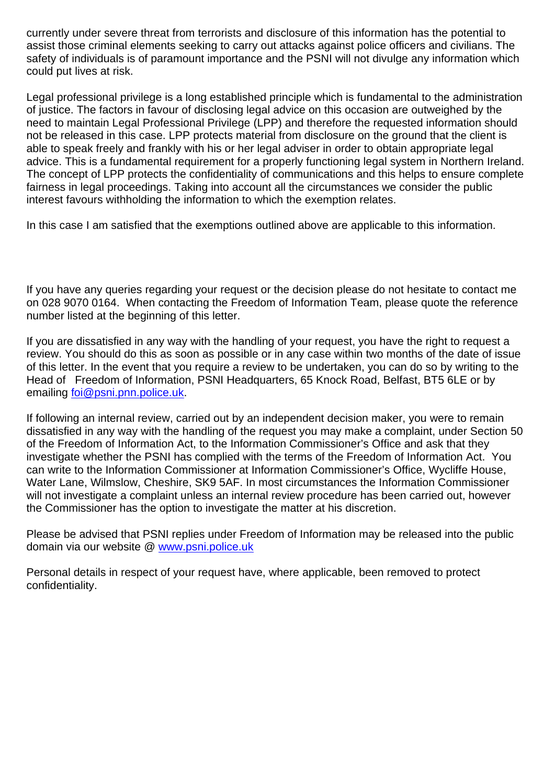currently under severe threat from terrorists and disclosure of this information has the potential to assist those criminal elements seeking to carry out attacks against police officers and civilians. The safety of individuals is of paramount importance and the PSNI will not divulge any information which could put lives at risk.

Legal professional privilege is a long established principle which is fundamental to the administration of justice. The factors in favour of disclosing legal advice on this occasion are outweighed by the need to maintain Legal Professional Privilege (LPP) and therefore the requested information should not be released in this case. LPP protects material from disclosure on the ground that the client is able to speak freely and frankly with his or her legal adviser in order to obtain appropriate legal advice. This is a fundamental requirement for a properly functioning legal system in Northern Ireland. The concept of LPP protects the confidentiality of communications and this helps to ensure complete fairness in legal proceedings. Taking into account all the circumstances we consider the public interest favours withholding the information to which the exemption relates.

In this case I am satisfied that the exemptions outlined above are applicable to this information.

If you have any queries regarding your request or the decision please do not hesitate to contact me on 028 9070 0164. When contacting the Freedom of Information Team, please quote the reference number listed at the beginning of this letter.

If you are dissatisfied in any way with the handling of your request, you have the right to request a review. You should do this as soon as possible or in any case within two months of the date of issue of this letter. In the event that you require a review to be undertaken, you can do so by writing to the Head of Freedom of Information, PSNI Headquarters, 65 Knock Road, Belfast, BT5 6LE or by emailing foi@psni.pnn.police.uk.

If following an internal review, carried out by an independent decision maker, you were to remain dissatisfied in any way with the handling of the request you may make a complaint, under Section 50 of the Freedom of Information Act, to the Information Commissioner's Office and ask that they investigate whether the PSNI has complied with the terms of the Freedom of Information Act. You can write to the Information Commissioner at Information Commissioner's Office, Wycliffe House, Water Lane, Wilmslow, Cheshire, SK9 5AF. In most circumstances the Information Commissioner will not investigate a complaint unless an internal review procedure has been carried out, however the Commissioner has the option to investigate the matter at his discretion.

Please be advised that PSNI replies under Freedom of Information may be released into the public domain via our website @ www.psni.police.uk

Personal details in respect of your request have, where applicable, been removed to protect confidentiality.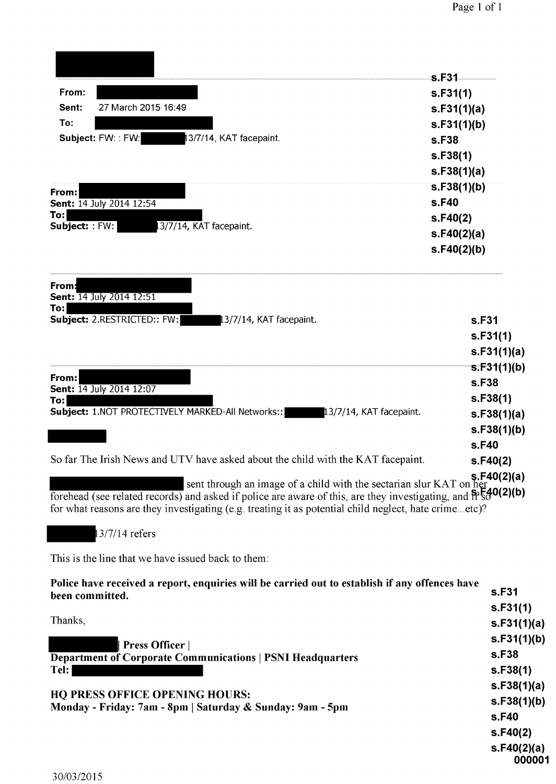|                                                                                                                                                                                                                                                                                                                         | s.F31             |
|-------------------------------------------------------------------------------------------------------------------------------------------------------------------------------------------------------------------------------------------------------------------------------------------------------------------------|-------------------|
| From:                                                                                                                                                                                                                                                                                                                   | s.F31(1)          |
| 27 March 2015 16:49<br>Sent:                                                                                                                                                                                                                                                                                            | s.F31(1)(a)       |
| To:                                                                                                                                                                                                                                                                                                                     | s.F31(1)(b)       |
| Subject: FW:: FW:<br>13/7/14, KAT facepaint.                                                                                                                                                                                                                                                                            | s.F38             |
|                                                                                                                                                                                                                                                                                                                         | s.F38(1)          |
|                                                                                                                                                                                                                                                                                                                         | s.F38(1)(a)       |
|                                                                                                                                                                                                                                                                                                                         | s.F38(1)(b)       |
| From:<br>Sent: 14 July 2014 12:54                                                                                                                                                                                                                                                                                       | s.F40             |
| To:l                                                                                                                                                                                                                                                                                                                    | s.F40(2)          |
| Subject: : FW:<br>3/7/14, KAT facepaint.                                                                                                                                                                                                                                                                                | s.F40(2)(a)       |
|                                                                                                                                                                                                                                                                                                                         | s.F40(2)(b)       |
| From:<br>Sent: 14 July 2014 12:51<br>To:                                                                                                                                                                                                                                                                                |                   |
| Subject: 2.RESTRICTED:: FW:<br>13/7/14, KAT facepaint.                                                                                                                                                                                                                                                                  | s.F31             |
|                                                                                                                                                                                                                                                                                                                         | s.F31(1)          |
|                                                                                                                                                                                                                                                                                                                         | s.F31(1)(a)       |
|                                                                                                                                                                                                                                                                                                                         | s.F31(1)(b)       |
| From:<br>Sent: 14 July 2014 12:07                                                                                                                                                                                                                                                                                       | s.F38             |
| To:l                                                                                                                                                                                                                                                                                                                    | s.F38(1)          |
| <b>Subject:</b> 1.NOT PROTECTIVELY MARKED-All Networks:: 13/7/14, KAT facepaint.                                                                                                                                                                                                                                        | s.F38(1)(a)       |
|                                                                                                                                                                                                                                                                                                                         | s.F38(1)(b)       |
|                                                                                                                                                                                                                                                                                                                         | s.F40             |
| So far The Irish News and UTV have asked about the child with the KAT facepaint.                                                                                                                                                                                                                                        | s.F40(2)          |
| sent through an image of a child with the sectarian slur KAT on her<br>forehead (see related records) and asked if police are aware of this, are they investigating, and $\frac{6}{11}$ $\frac{640(2)(b)}{20}$<br>for what reasons are they investigating (e.g. treating it as potential child neglect, hate crimeetc)? | \$F40(2)(a)       |
| 13/7/14 refers                                                                                                                                                                                                                                                                                                          |                   |
| This is the line that we have issued back to them:                                                                                                                                                                                                                                                                      |                   |
| Police have received a report, enquiries will be carried out to establish if any offences have<br>been committed.                                                                                                                                                                                                       | s.F31<br>s.F31(1) |
| Thanks,                                                                                                                                                                                                                                                                                                                 | s.F31(1)(a)       |
| Press Officer                                                                                                                                                                                                                                                                                                           | s.F31(1)(b)       |
| <b>Department of Corporate Communications   PSNI Headquarters</b>                                                                                                                                                                                                                                                       | s.F38             |

Tel:

HQ PRESS OFFICE OPENING HOURS:

Monday - Friday: 7am - 8pm | Saturday & Sunday: 9am - 5pm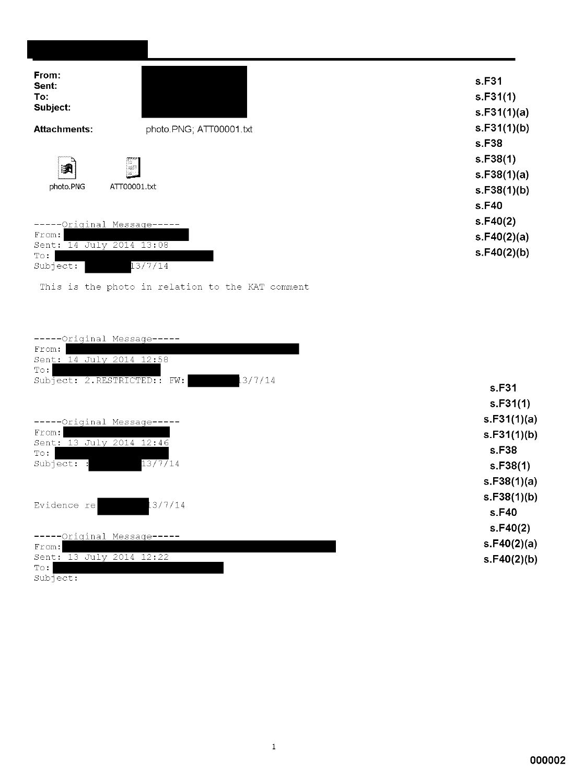| From:<br>Sent:<br>To:<br>Subject:       |                                                  | s.F31<br>s.F31(1) |
|-----------------------------------------|--------------------------------------------------|-------------------|
|                                         |                                                  | s.F31(1)(a)       |
| <b>Attachments:</b>                     | photo.PNG; ATT00001.txt                          | s.F31(1)(b)       |
|                                         |                                                  | s.F38             |
|                                         |                                                  | s.F38(1)          |
| 躙                                       | F                                                | s.F38(1)(a)       |
| photo.PNG                               | ATT00001.txt                                     | s.F38(1)(b)       |
|                                         |                                                  | s.F40             |
| -Original Message-                      |                                                  | s.F40(2)          |
| From:                                   |                                                  | s.F40(2)(a)       |
| Sent: 14 July 2014 13:08<br>$T \circ :$ |                                                  | s.F40(2)(b)       |
| Subject:                                | 13/7/14                                          |                   |
|                                         | This is the photo in relation to the KAT comment |                   |

| -----Original Message-----<br>From:<br>Sent: 14 July 2014 12:58<br>$T \circ :$ |             |
|--------------------------------------------------------------------------------|-------------|
| 13/7/14<br>Subject: 2.RESTRICTED:: FW:                                         | s.F31       |
|                                                                                | s.F31(1)    |
| -----Original Message--                                                        | s.F31(1)(a) |
| From:                                                                          | s.F31(1)(b) |
| Sent: 13 July 2014 12:46<br>$\textcolor{red}{\mathbb{T} \circ \mathbf{1}}$     | s.F38       |
| 13/7/14<br>Subject: :                                                          | s.F38(1)    |
|                                                                                | s.F38(1)(a) |
|                                                                                | s.F38(1)(b) |
| 13/7/14<br>Evidence re                                                         | s.F40       |
|                                                                                | s.F40(2)    |
| --Original Message-----<br>From:                                               | s.F40(2)(a) |
| Sent: 13 July 2014 12:22<br>$T \circ :$<br>Subject:                            | s.F40(2)(b) |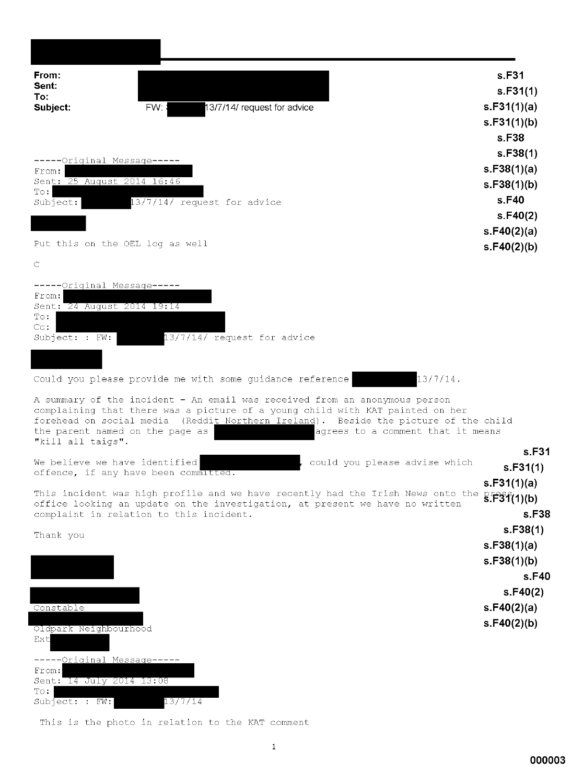| From:<br>Sent:<br>To:                                                                                                                                                                                                                                                                                      | s.F31<br>s.F31(1)                                  |
|------------------------------------------------------------------------------------------------------------------------------------------------------------------------------------------------------------------------------------------------------------------------------------------------------------|----------------------------------------------------|
| FW:<br>13/7/14/ request for advice<br>Subject:                                                                                                                                                                                                                                                             | s.F31(1)(a)                                        |
|                                                                                                                                                                                                                                                                                                            | s.F31(1)(b)                                        |
|                                                                                                                                                                                                                                                                                                            | s.F38<br>s.F38(1)                                  |
| -----Original Message-----                                                                                                                                                                                                                                                                                 | s.F38(1)(a)                                        |
| From:<br>Sent: 25 August 2014 16:46                                                                                                                                                                                                                                                                        | s.F38(1)(b)                                        |
| $T \circ :$<br>$13/7/14/$ request for advice<br>Subject:                                                                                                                                                                                                                                                   | s.F40                                              |
|                                                                                                                                                                                                                                                                                                            | s.F40(2)                                           |
|                                                                                                                                                                                                                                                                                                            | s. $F40(2)(a)$                                     |
| Put this on the OEL log as well                                                                                                                                                                                                                                                                            | s.F40(2)(b)                                        |
| C                                                                                                                                                                                                                                                                                                          |                                                    |
| -----Original Message--                                                                                                                                                                                                                                                                                    |                                                    |
| From:<br>Sent: 24 August 2014 19:14                                                                                                                                                                                                                                                                        |                                                    |
| To:<br>$C_{\text{C}}$ :                                                                                                                                                                                                                                                                                    |                                                    |
| 13/7/14/ request for advice<br>Subject: : FW:                                                                                                                                                                                                                                                              |                                                    |
|                                                                                                                                                                                                                                                                                                            |                                                    |
| Could you please provide me with some guidance reference                                                                                                                                                                                                                                                   | $13/7/14$ .                                        |
|                                                                                                                                                                                                                                                                                                            |                                                    |
| A summary of the incident - An email was received from an anonymous person<br>complaining that there was a picture of a young child with KAT painted on her<br>forehead on social media (Reddit Northern Ireland). Beside the picture of the child<br>the parent named on the page as<br>"kill all taigs". | agrees to a comment that it means                  |
|                                                                                                                                                                                                                                                                                                            | s.F31                                              |
| We believe we have identified<br>could you please advise which<br>offence, if any have been committed.                                                                                                                                                                                                     | s.F31(1)                                           |
| This incident was high profile and we have recently had the Irish News onto the                                                                                                                                                                                                                            | s.F31(1)(a)                                        |
| office looking an update on the investigation, at present we have no written                                                                                                                                                                                                                               | $\frac{12}{5}$ $\frac{12}{5}$ $\frac{3}{1}$ (1)(b) |
| complaint in relation to this incident.                                                                                                                                                                                                                                                                    | s F38                                              |
| Thank you                                                                                                                                                                                                                                                                                                  | s.F38(1)                                           |
|                                                                                                                                                                                                                                                                                                            | s.F38(1)(a)<br>s.F38(1)(b)                         |
|                                                                                                                                                                                                                                                                                                            | s.F40                                              |
|                                                                                                                                                                                                                                                                                                            | s.F40(2)                                           |
| Constable                                                                                                                                                                                                                                                                                                  | s.F40(2)(a)                                        |
|                                                                                                                                                                                                                                                                                                            | s.F40(2)(b)                                        |
| Oldpark Neighbourhood<br>Ext                                                                                                                                                                                                                                                                               |                                                    |
| ----- Original Message -----                                                                                                                                                                                                                                                                               |                                                    |
| From:                                                                                                                                                                                                                                                                                                      |                                                    |
| Sent: 14 July 2014 13:08<br>$T \circ :$                                                                                                                                                                                                                                                                    |                                                    |
| 13/7/14<br>Subject: : FW:                                                                                                                                                                                                                                                                                  |                                                    |
| This is the photo in relation to the KAT comment                                                                                                                                                                                                                                                           |                                                    |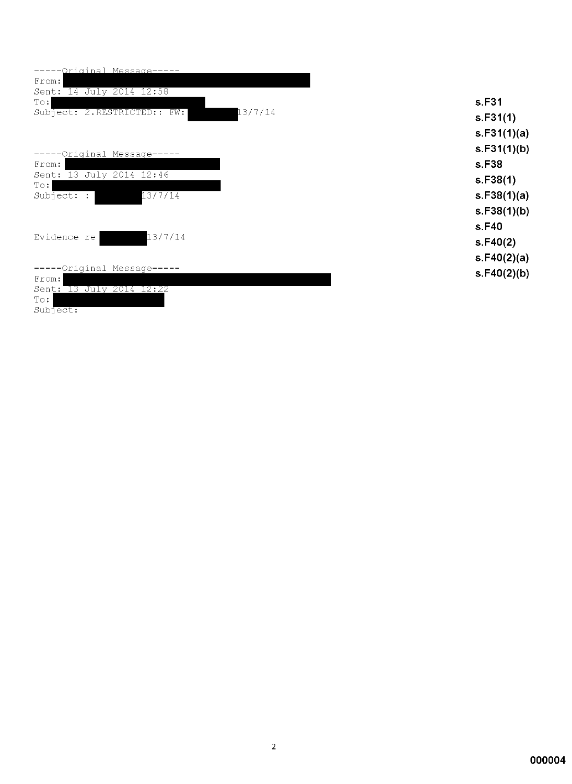| ---Original Message-----               |
|----------------------------------------|
| From:                                  |
| Sent: 14 July 2014 12:58               |
| $\texttt{T}\circ\colon$                |
| Subject: 2.RESTRICTED:: FW:<br>13/7/14 |
|                                        |
|                                        |
|                                        |
| -----Original Message----              |
| From:                                  |
| Sent: 13 July 2014 12:46               |
| $T \circ :$                            |
| 13/7/14<br>Subject:<br>$\mathbf{I}$    |
|                                        |
|                                        |
|                                        |
| 13/7/14<br>Evidence re                 |
|                                        |
|                                        |
| -----Original Message-----             |
| From:                                  |
| Sent: 13 July 2014 12:22               |
| $T \circ :$                            |
| Subject:                               |

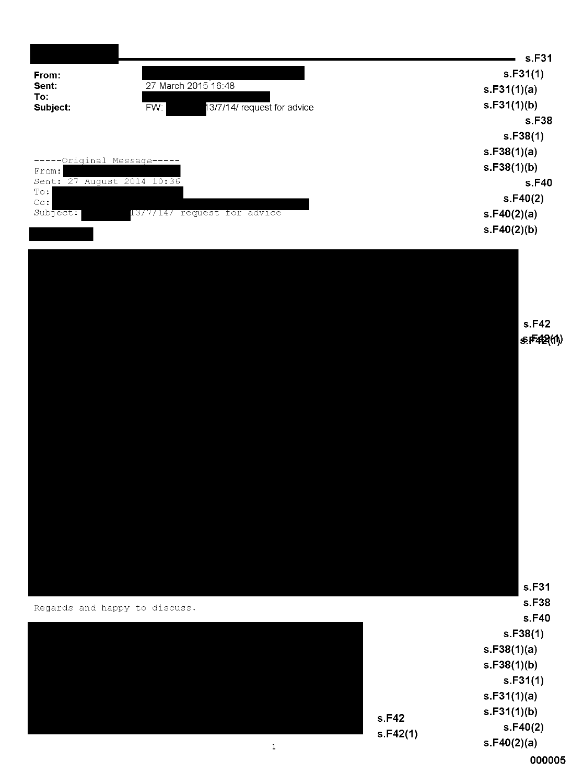|                                     |                                    |          | s.F31<br>s.F31(1)                                                                                           |
|-------------------------------------|------------------------------------|----------|-------------------------------------------------------------------------------------------------------------|
| From:<br>Sent:                      | 27 March 2015 16:48                |          | s.F31(1)(a)                                                                                                 |
| To:                                 |                                    |          | s.F31(1)(b)                                                                                                 |
| Subject:                            | 13/7/14/ request for advice<br>FW: |          | s.F38                                                                                                       |
|                                     |                                    |          | s.F38(1)                                                                                                    |
|                                     |                                    |          | s.F38(1)(a)                                                                                                 |
| -----Original Message-----          |                                    |          | s.F38(1)(b)                                                                                                 |
| From:<br>Sent: 27 August 2014 10:36 |                                    |          | s.F40                                                                                                       |
| $\mathbb{T}\circ\colon$             |                                    |          | s.F40(2)                                                                                                    |
| $C_{\text{C}}$ :<br>Subject:        | 13/7/14/ request for advice        |          | s.F40(2)(a)                                                                                                 |
|                                     |                                    |          | s.F40(2)(b)                                                                                                 |
|                                     |                                    |          | s.F42<br>$s$ :F42 $(n)$                                                                                     |
|                                     | Regards and happy to discuss.      |          | s.F31<br>s.F38<br>s.F40<br>s.F38(1)<br>s.F38(1)(a)<br>s.F38(1)(b)<br>s.F31(1)<br>s.F31(1)(a)<br>s.F31(1)(b) |
|                                     |                                    | s.F42    |                                                                                                             |
|                                     |                                    | s.F42(1) | s.F40(2)<br>s.F40(2)(a)                                                                                     |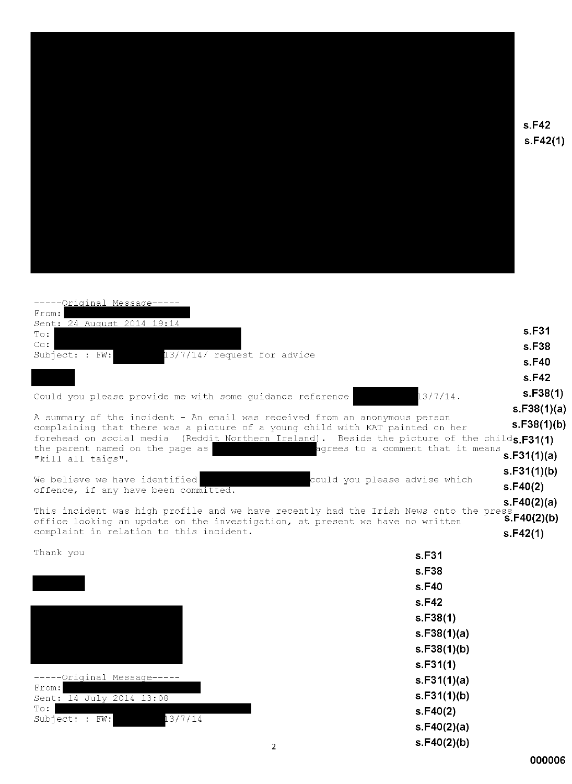

 $s.F42$  $s.F42(1)$ 

| -----Original Message----                                                                                                                                                    |                            |
|------------------------------------------------------------------------------------------------------------------------------------------------------------------------------|----------------------------|
| From:<br>Sent: 24 August 2014 19:14                                                                                                                                          | s.F31                      |
| $\texttt{T}\circ\colon$<br>$\textcolor{blue}{\mathbb C}\mathtt{c}$ :                                                                                                         | s.F38                      |
| 13/7/14/ request for advice<br>Subject: $:$ FW:                                                                                                                              | s.F40                      |
|                                                                                                                                                                              | s.F42                      |
|                                                                                                                                                                              | s.F38(1)                   |
| Could you please provide me with some guidance reference                                                                                                                     | $13/7/14$ .<br>s.F38(1)(a) |
| A summary of the incident - An email was received from an anonymous person                                                                                                   | s.F38(1)(b)                |
| complaining that there was a picture of a young child with KAT painted on her<br>forehead on social media (Reddit Northern Ireland). Beside the picture of the childs.F31(1) |                            |
| the parent named on the page as<br>agrees to a comment that it means                                                                                                         | s.F31(1)(a)                |
| "kill all taigs".                                                                                                                                                            | s.F31(1)(b)                |
| could you please advise which<br>We believe we have identified                                                                                                               | s.F40(2)                   |
| offence, if any have been committed.                                                                                                                                         | s.F40(2)(a)                |
| This incident was high profile and we have recently had the Irish News onto the press $s.F40(2)(b)$                                                                          |                            |
| office looking an update on the investigation, at present we have no written<br>complaint in relation to this incident.                                                      | s.F42(1)                   |
| Thank you                                                                                                                                                                    | s.F31                      |
|                                                                                                                                                                              | s.F38                      |
|                                                                                                                                                                              | s.F40                      |
|                                                                                                                                                                              | s.F42                      |
|                                                                                                                                                                              | s.F38(1)                   |
|                                                                                                                                                                              | s.F38(1)(a)                |
|                                                                                                                                                                              | s.F38(1)(b)                |
|                                                                                                                                                                              | s.F31(1)                   |
| -----Original Message--<br>From:                                                                                                                                             | s.F31(1)(a)                |
| Sent: 14 July 2014 13:08                                                                                                                                                     | s.F31(1)(b)                |
| $\texttt{T}\circ\colon$<br>13/7/14<br>Subject: : FW:                                                                                                                         | s.F40(2)                   |
|                                                                                                                                                                              | s.F40(2)(a)                |
| 2                                                                                                                                                                            | s.F40(2)(b)                |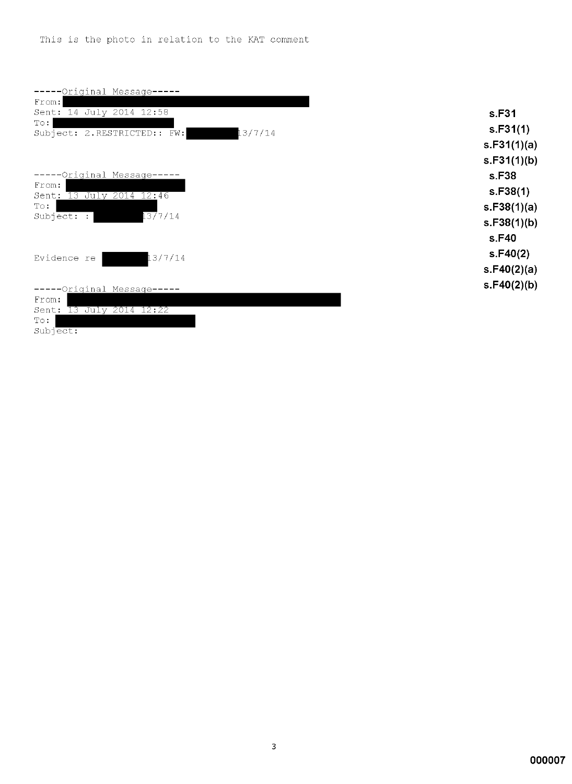| -----Original_Message-----             |
|----------------------------------------|
| From:                                  |
| Sent: 14 July 2014 12:58               |
| $T \circ :$                            |
| 13/7/14<br>Subject: 2.RESTRICTED:: FW: |
|                                        |
|                                        |
|                                        |
| -----Original Message-----             |
| From:                                  |
| Sent: 13 July 2014 12:46               |
| $T \circ :$                            |
| 1377/14<br>Subject: :                  |
|                                        |
|                                        |
| 13/7/14                                |
| Evidence re                            |
|                                        |
| -----Original Message-----             |
| From:                                  |
| Sent: 13 July 2014 12:22               |
| $T \circ :$                            |
| Subject:                               |
|                                        |

s.F31  $s.F31(1)$  $s.F31(1)(a)$  $s.F31(1)(b)$ s.F38  $s.F38(1)$  $s.F38(1)(a)$  $s.F38(1)(b)$ s.F40  $s.F40(2)$  $s.F40(2)(a)$  $s.F40(2)(b)$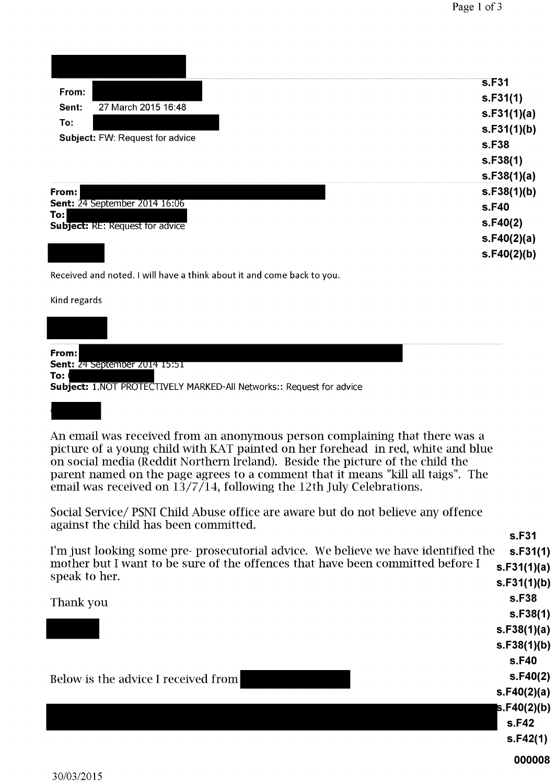|        |                                        | s.F31        |
|--------|----------------------------------------|--------------|
| From:  |                                        | s.F31(1)     |
| Sent:  | 27 March 2015 16:48                    | s.F31(1)(a)  |
| To:    |                                        | s.F31(1)(b)  |
|        | <b>Subject: FW: Request for advice</b> | <b>s.F38</b> |
|        |                                        | s.F38(1)     |
|        |                                        | s.F38(1)(a)  |
| From:  |                                        | s.F38(1)(b)  |
|        | <b>Sent: 24 September 2014 16:06</b>   | <b>s.F40</b> |
| $T$ o: | <b>Subject: RE: Request for advice</b> | s.F40(2)     |
|        |                                        | s.F40(2)(a)  |
|        |                                        | s.F40(2)(b)  |

Received and noted. I will have a think about it and come back to you.

Kind regards

Sent: 24 September 2014 15:51

To: ( Subject: 1.NOT PROTECTIVELY MARKED-All Networks:: Request for advice

From:

An email was received from an anonymous person complaining that there was a picture of a young child with KAT painted on her forehead in red, white and blue on social media (Reddit Northern Ireland). Beside the picture of the child the parent named on the page agrees to a comment that it means "kill all taigs". The email was received on  $13/7/14$ , following the 12th July Celebrations.

Social Service/ PSNI Child Abuse office are aware but do not believe any offence against the child has been committed.

|                                                                                                 | s.F31       |
|-------------------------------------------------------------------------------------------------|-------------|
| I'm just looking some pre- prosecutorial advice. We believe we have identified the              | s.F31(1)    |
| mother but I want to be sure of the offences that have been committed before I<br>speak to her. | s.F31(1)(a) |
|                                                                                                 | s.F31(1)(b) |
| Thank you                                                                                       | s.F38       |
|                                                                                                 | S.F38(1)    |
|                                                                                                 | s.F38(1)(a) |
|                                                                                                 | s.F38(1)(b) |
|                                                                                                 | s.F40       |
| Below is the advice I received from                                                             | S.F40(2)    |
|                                                                                                 | s.F40(2)(a) |
|                                                                                                 | s.F40(2)(b) |
|                                                                                                 | s.F42       |
|                                                                                                 | s.F42(1)    |
|                                                                                                 | 000008      |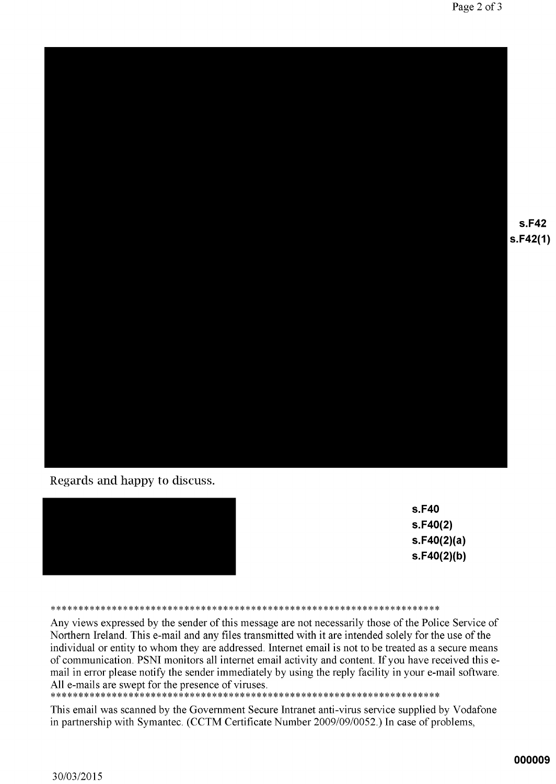

Regards and happy to discuss.



| s.F40       |
|-------------|
| s.F40(2)    |
| s.F40(2)(a) |
| s.F40(2)(b) |

#### 

Any views expressed by the sender of this message are not necessarily those of the Police Service of Northern Ireland. This e-mail and any files transmitted with it are intended solely for the use of the individual or entity to whom they are addressed. Internet email is not to be treated as a secure means of communication. PSNI monitors all internet email activity and content. If you have received this email in error please notify the sender immediately by using the reply facility in your e-mail software. All e-mails are swept for the presence of viruses.

#### 

This email was scanned by the Government Secure Intranet anti-virus service supplied by Vodafone in partnership with Symantec. (CCTM Certificate Number 2009/09/0052.) In case of problems,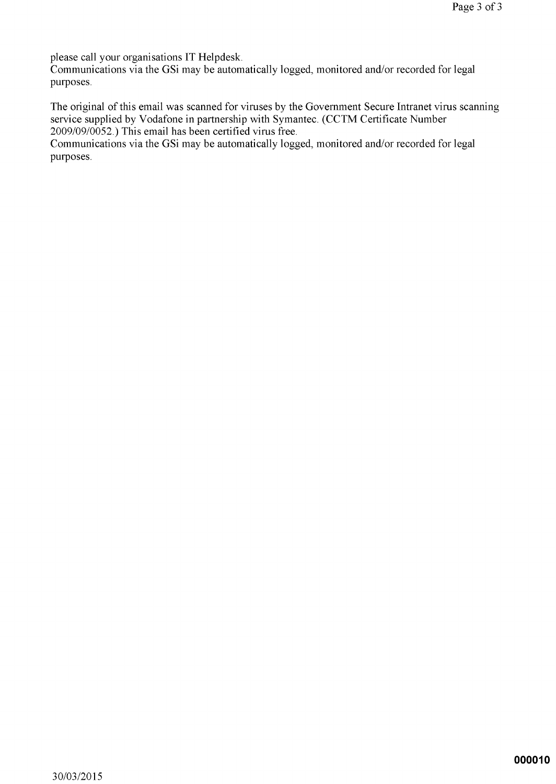please call your organisations IT Helpdesk.

Communications via the GSi may be automatically logged, monitored and/or recorded for legal purposes.

The original of this email was scanned for viruses by the Government Secure Intranet virus scanning service supplied by Vodafone in partnership with Symantec. (CCTM Certificate Number 2009/09/0052.) This email has been certified virus free.

Communications via the GSi may be automatically logged, monitored and/or recorded for legal purposes.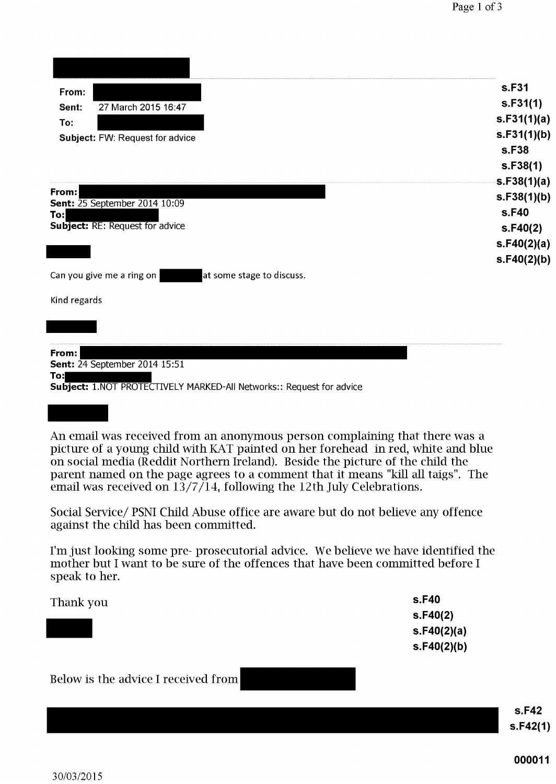| From:                                                                                                                                                                                                                                                                                                                                                                                                            | s.F31<br>S.F31(1) |
|------------------------------------------------------------------------------------------------------------------------------------------------------------------------------------------------------------------------------------------------------------------------------------------------------------------------------------------------------------------------------------------------------------------|-------------------|
| 27 March 2015 16:47<br>Sent:                                                                                                                                                                                                                                                                                                                                                                                     | s.F31(1)(a)       |
| To:<br>Subject: FW: Request for advice                                                                                                                                                                                                                                                                                                                                                                           | s.F31(1)(b)       |
|                                                                                                                                                                                                                                                                                                                                                                                                                  | s.F38             |
|                                                                                                                                                                                                                                                                                                                                                                                                                  | s.F38(1)          |
|                                                                                                                                                                                                                                                                                                                                                                                                                  | s.F38(1)(a)       |
| From:<br><b>Sent:</b> 25 September 2014 10:09                                                                                                                                                                                                                                                                                                                                                                    | s.F38(1)(b)       |
| To:                                                                                                                                                                                                                                                                                                                                                                                                              | s.F40             |
| <b>Subject: RE: Request for advice</b>                                                                                                                                                                                                                                                                                                                                                                           | S.F40(2)          |
|                                                                                                                                                                                                                                                                                                                                                                                                                  | s.F40(2)(a)       |
|                                                                                                                                                                                                                                                                                                                                                                                                                  | s.F40(2)(b)       |
| Can you give me a ring on<br>at some stage to discuss.                                                                                                                                                                                                                                                                                                                                                           |                   |
| Kind regards                                                                                                                                                                                                                                                                                                                                                                                                     |                   |
|                                                                                                                                                                                                                                                                                                                                                                                                                  |                   |
|                                                                                                                                                                                                                                                                                                                                                                                                                  |                   |
|                                                                                                                                                                                                                                                                                                                                                                                                                  |                   |
| From:<br><b>Sent: 24 September 2014 15:51</b>                                                                                                                                                                                                                                                                                                                                                                    |                   |
| To:                                                                                                                                                                                                                                                                                                                                                                                                              |                   |
| Subject: 1.NOT PROTECTIVELY MARKED-All Networks:: Request for advice                                                                                                                                                                                                                                                                                                                                             |                   |
|                                                                                                                                                                                                                                                                                                                                                                                                                  |                   |
| An email was received from an anonymous person complaining that there was a<br>picture of a young child with KAT painted on her forehead in red, white and blue<br>on social media (Reddit Northern Ireland). Beside the picture of the child the<br>parent named on the page agrees to a comment that it means "kill all taigs". The<br>email was received on $13/7/14$ , following the 12th July Celebrations. |                   |
| Social Service/ PSNI Child Abuse office are aware but do not believe any offence<br>against the child has been committed.                                                                                                                                                                                                                                                                                        |                   |
| I'm just looking some pre- prosecutorial advice. We believe we have identified the<br>mother but I want to be sure of the offences that have been committed before I<br>speak to her.                                                                                                                                                                                                                            |                   |

| Thank you | s.F40       |
|-----------|-------------|
|           | S.F40(2)    |
|           | s.F40(2)(a) |
|           | s.F40(2)(b) |
|           |             |

# Below is the advice I received from

**s.F42**  $s.F42(1)$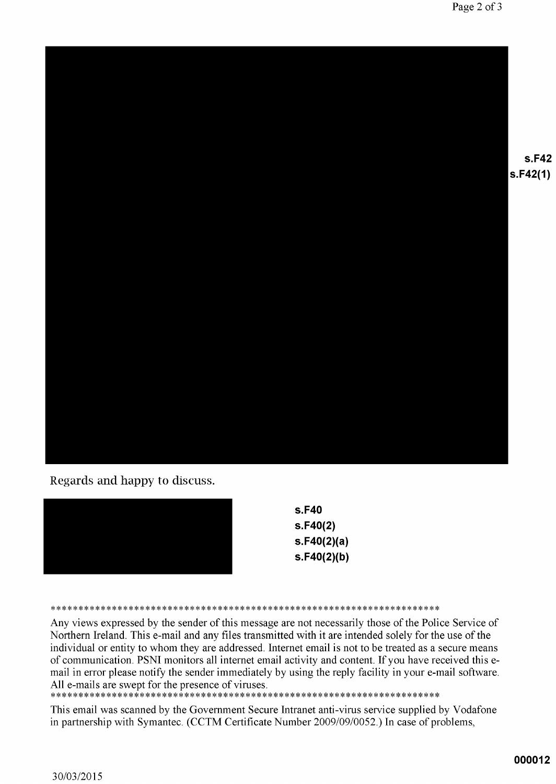

Regards and happy to discuss.

| s.F40       |
|-------------|
| s.F40(2)    |
| s.F40(2)(a) |
| s.F40(2)(b) |
|             |

Any views expressed by the sender of this message are not necessarily those of the Police Service of Northern Ireland. This e-mail and any files transmitted with it are intended solely for the use of the individual or entity to whom they are addressed. Internet email is not to be treated as a secure means of communication. PSNI monitors all internet email activity and content. If you have received this email in error please notify the sender immediately by using the reply facility in your e-mail software. All e-mails are swept for the presence of viruses.

#### 

This email was scanned by the Government Secure Intranet anti-virus service supplied by Vodafone in partnership with Symantec. (CCTM Certificate Number 2009/09/0052.) In case of problems,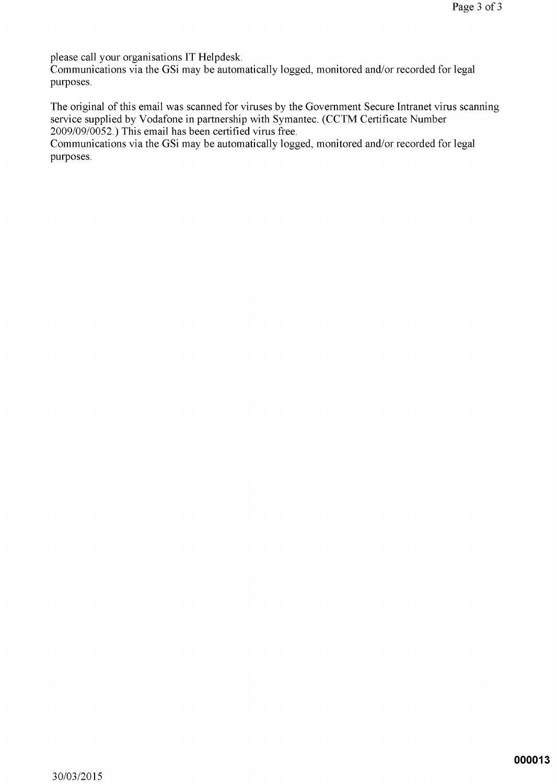please call your organisations IT Helpdesk.

Communications via the GSi may be automatically logged, monitored and/or recorded for legal purposes.

The original of this email was scanned for viruses by the Government Secure Intranet virus scanning service supplied by Vodafone in partnership with Symantec. (CCTM Certificate Number 2009/09/0052.) This email has been certified virus free.

Communications via the GSi may be automatically logged, monitored and/or recorded for legal purposes.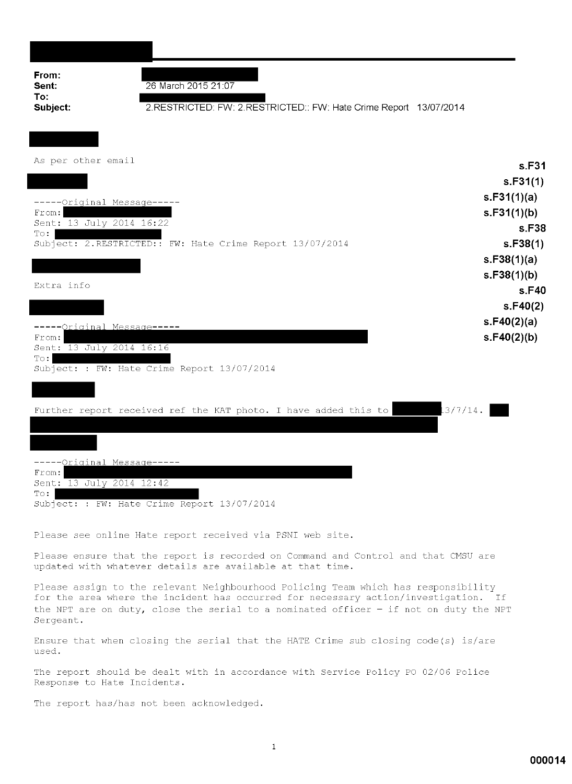| From:<br>Sent:<br>To:                   | 26 March 2015 21:07                                                         |                   |
|-----------------------------------------|-----------------------------------------------------------------------------|-------------------|
| Subject:                                | 2.RESTRICTED: FW: 2.RESTRICTED:: FW: Hate Crime Report 13/07/2014           |                   |
|                                         |                                                                             |                   |
| As per other email                      |                                                                             | s.F31             |
|                                         |                                                                             | s.F31(1)          |
| -----Original Message-----              |                                                                             | s.F31(1)(a)       |
| From:                                   |                                                                             | s.F31(1)(b)       |
| Sent: 13 July 2014 16:22<br>$T \circ :$ |                                                                             | s.F38             |
|                                         | Subject: 2.RESTRICTED:: FW: Hate Crime Report 13/07/2014                    | s.F38(1)          |
|                                         |                                                                             | s.F38(1)(a)       |
| Extra info                              |                                                                             | s.F38(1)(b)       |
|                                         |                                                                             | s.F40<br>s.F40(2) |
|                                         |                                                                             | s.F40(2)(a)       |
| --Original Message----<br>From:         |                                                                             | s.F40(2)(b)       |
| Sent: 13 July 2014 16:16                |                                                                             |                   |
| $T \circ :$                             | Subject: : FW: Hate Crime Report 13/07/2014                                 |                   |
|                                         |                                                                             |                   |
|                                         | 13/7/14.<br>Further report received ref the KAT photo. I have added this to |                   |
|                                         |                                                                             |                   |
|                                         |                                                                             |                   |
| ---Original Message----                 |                                                                             |                   |
| From:<br>Sent: 13 July 2014 12:42       |                                                                             |                   |
| $T \circ$ :                             | Subject: : FW: Hate Crime Report 13/07/2014                                 |                   |
|                                         |                                                                             |                   |

Please see online Hate report received via PSNI web site.

Please ensure that the report is recorded on Command and Control and that CMSU are updated with whatever details are available at that time.

Please assign to the relevant Neighbourhood Policing Team which has responsibility for the area where the incident has occurred for necessary action/investigation. If the NPT are on duty, close the serial to a nominated officer  $-$  if not on duty the NPT Sergeant.

Ensure that when closing the serial that the HATE Crime sub closing code(s) is/are used.

The report should be dealt with in accordance with Service Policy PO 02/06 Police Response to Hate Incidents.

The report has/has not been acknowledged.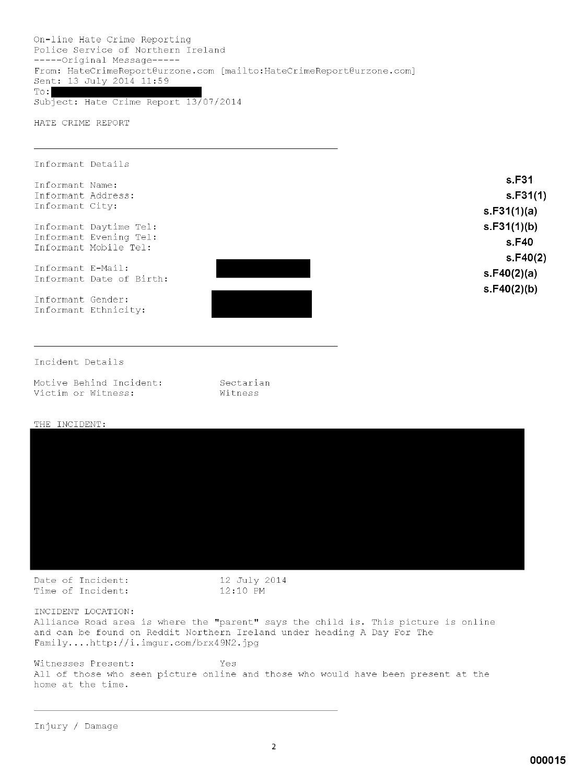On-line Hate Crime Reporting Police Service of Northern Ireland -----Original Message-----From: HateCrimeReport@urzone.com [mailto:HateCrimeReport@urzone.com] Sent: 13 July 2014 11:59  $To:$ 

Subject: Hate Crime Report 13/07/2014

HATE CRIME REPORT

| Informant Details                               |             |
|-------------------------------------------------|-------------|
| Informant Name:                                 | s.F31       |
| Informant Address:                              | s.F31(1)    |
| Informant City:                                 | s.F31(1)(a) |
| Informant Daytime Tel:                          | s.F31(1)(b) |
| Informant Evening Tel:<br>Informant Mobile Tel: | s.F40       |
|                                                 | s.F40(2)    |
| Informant E-Mail:<br>Informant Date of Birth:   | s.F40(2)(a) |
|                                                 | s.F40(2)(b) |
| Informant Gender:                               |             |
| Informant Ethnicity:                            |             |
|                                                 |             |
|                                                 |             |
| Incident Details                                |             |

| Motive Behind Incident: |  |  |
|-------------------------|--|--|
| Victim or Witness:      |  |  |

#### **THE INCIDENT.**

| THE TMATHEMI! |  |
|---------------|--|
|               |  |
|               |  |
|               |  |
|               |  |
|               |  |
|               |  |
|               |  |
|               |  |
|               |  |
|               |  |
|               |  |
|               |  |
|               |  |
|               |  |
|               |  |
|               |  |
|               |  |
|               |  |
|               |  |
|               |  |
|               |  |
|               |  |
|               |  |
|               |  |

Date of Incident: Time of Incident: 12 July 2014<br>12:10 PM

Sectarian Witness

INCIDENT LOCATION: Alliance Road area is where the "parent" says the child is. This picture is online and can be found on Reddit Northern Ireland under heading A Day For The Family....http://i.imgur.com/brx49N2.jpg

Witnesses Present: Yes All of those who seen picture online and those who would have been present at the home at the time.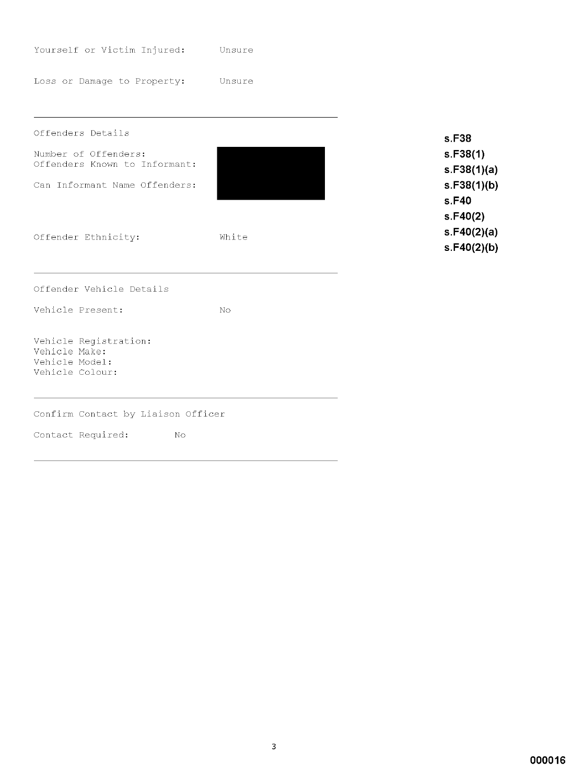| Yourself or Victim Injured:                                                                                 | Unsure |                                                                      |
|-------------------------------------------------------------------------------------------------------------|--------|----------------------------------------------------------------------|
| Loss or Damage to Property:                                                                                 | Unsure |                                                                      |
| Offenders Details<br>Number of Offenders:<br>Offenders Known to Informant:<br>Can Informant Name Offenders: |        | s.F38<br>s.F38(1)<br>s.F38(1)(a)<br>s.F38(1)(b)<br>s.F40<br>s.F40(2) |
| Offender Ethnicity:                                                                                         | White  | s.F40(2)(a)<br>s.F40(2)(b)                                           |
| Offender Vehicle Details                                                                                    |        |                                                                      |
| Vehicle Present:                                                                                            | No.    |                                                                      |
| Vehicle Registration:<br>Vehicle Make:<br>Vehicle Model:<br>Vehicle Colour:                                 |        |                                                                      |
| Confirm Contact by Liaison Officer                                                                          |        |                                                                      |
| Contact Required:<br>No                                                                                     |        |                                                                      |